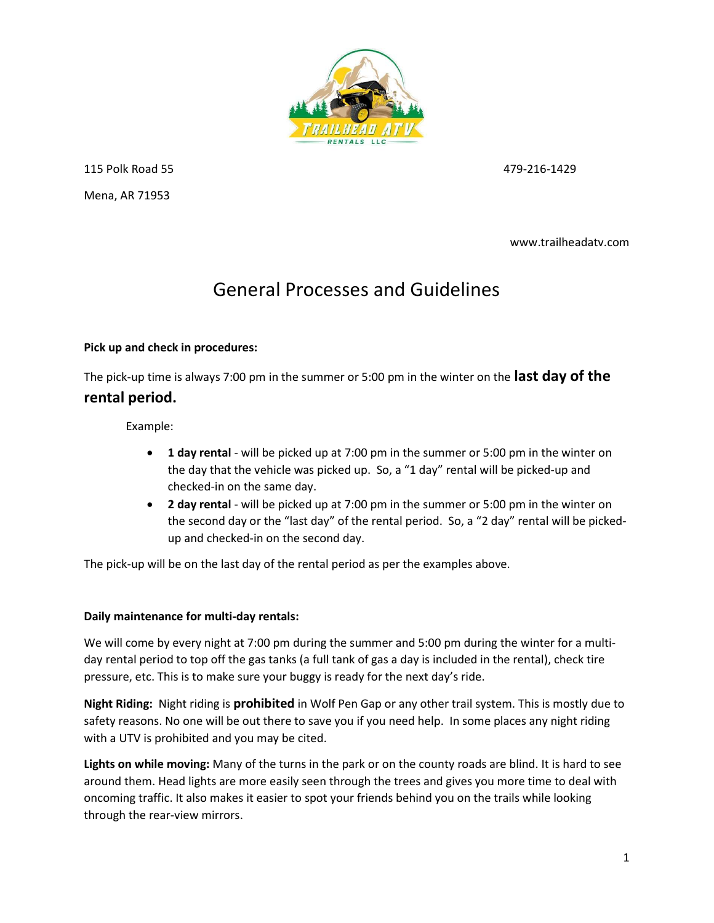

115 Polk Road 55 479-216-1429 Mena, AR 71953

www.trailheadatv.com

## General Processes and Guidelines

## Pick up and check in procedures:

The pick-up time is always 7:00 pm in the summer or 5:00 pm in the winter on the last day of the rental period.

Example:

- 1 day rental will be picked up at 7:00 pm in the summer or 5:00 pm in the winter on the day that the vehicle was picked up. So, a "1 day" rental will be picked-up and checked-in on the same day.
- 2 day rental will be picked up at 7:00 pm in the summer or 5:00 pm in the winter on the second day or the "last day" of the rental period. So, a "2 day" rental will be pickedup and checked-in on the second day.

The pick-up will be on the last day of the rental period as per the examples above.

## Daily maintenance for multi-day rentals:

We will come by every night at 7:00 pm during the summer and 5:00 pm during the winter for a multiday rental period to top off the gas tanks (a full tank of gas a day is included in the rental), check tire pressure, etc. This is to make sure your buggy is ready for the next day's ride.

Night Riding: Night riding is prohibited in Wolf Pen Gap or any other trail system. This is mostly due to safety reasons. No one will be out there to save you if you need help. In some places any night riding with a UTV is prohibited and you may be cited.

Lights on while moving: Many of the turns in the park or on the county roads are blind. It is hard to see around them. Head lights are more easily seen through the trees and gives you more time to deal with oncoming traffic. It also makes it easier to spot your friends behind you on the trails while looking through the rear-view mirrors.